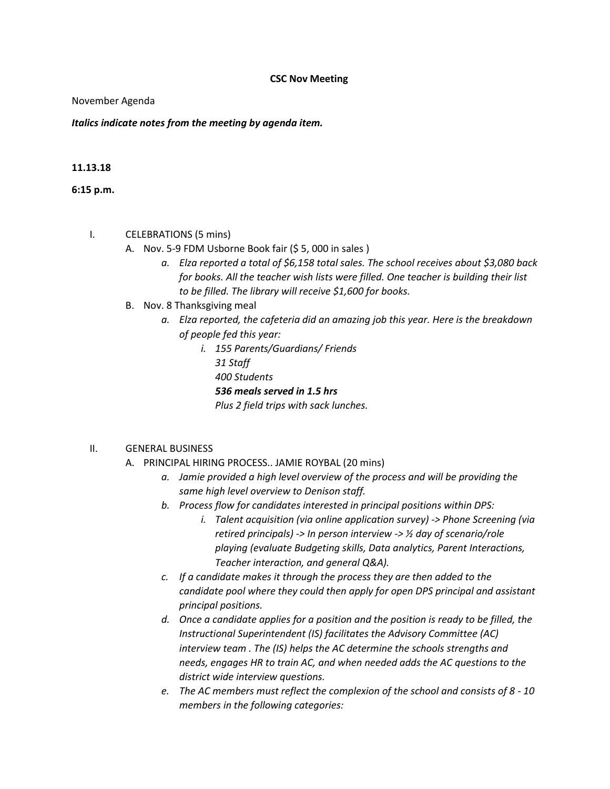## **CSC Nov Meeting**

#### November Agenda

*Italics indicate notes from the meeting by agenda item.* 

# **11.13.18**

## **6:15 p.m.**

### I. CELEBRATIONS (5 mins)

- A. Nov. 5-9 FDM Usborne Book fair (\$ 5, 000 in sales )
	- *a. Elza reported a total of \$6,158 total sales. The school receives about \$3,080 back for books. All the teacher wish lists were filled. One teacher is building their list to be filled. The library will receive \$1,600 for books.*
- B. Nov. 8 Thanksgiving meal
	- *a. Elza reported, the cafeteria did an amazing job this year. Here is the breakdown of people fed this year:*
		- *i. 155 Parents/Guardians/ Friends 31 Staff 400 Students 536 meals served in 1.5 hrs Plus 2 field trips with sack lunches.*

# II. GENERAL BUSINESS

- A. PRINCIPAL HIRING PROCESS.. JAMIE ROYBAL (20 mins)
	- *a. Jamie provided a high level overview of the process and will be providing the same high level overview to Denison staff.*
	- *b. Process flow for candidates interested in principal positions within DPS:* 
		- *i. Talent acquisition (via online application survey) -> Phone Screening (via retired principals) -> In person interview -> ½ day of scenario/role playing (evaluate Budgeting skills, Data analytics, Parent Interactions, Teacher interaction, and general Q&A).*
	- *c. If a candidate makes it through the process they are then added to the candidate pool where they could then apply for open DPS principal and assistant principal positions.*
	- *d. Once a candidate applies for a position and the position is ready to be filled, the Instructional Superintendent (IS) facilitates the Advisory Committee (AC) interview team . The (IS) helps the AC determine the schools strengths and needs, engages HR to train AC, and when needed adds the AC questions to the district wide interview questions.*
	- *e. The AC members must reflect the complexion of the school and consists of 8 - 10 members in the following categories:*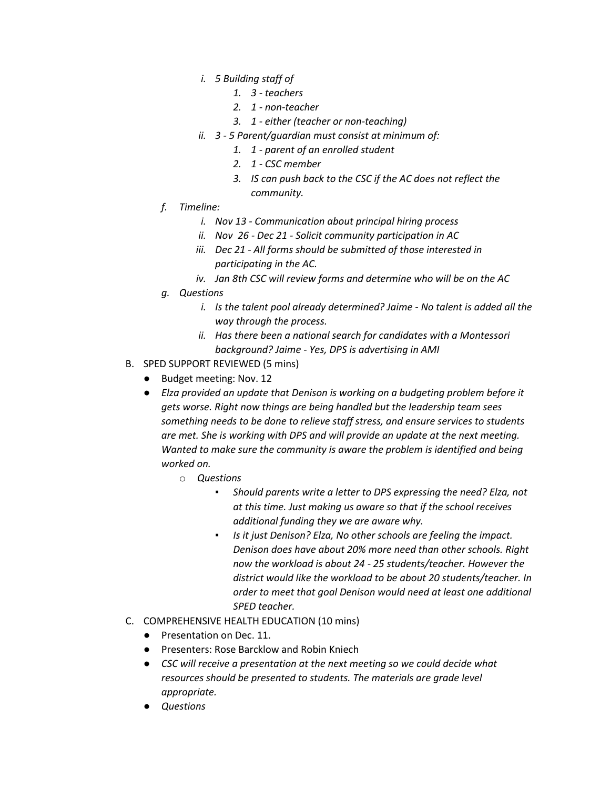- *i. 5 Building staff of*
	- *1. 3 - teachers*
	- *2. 1 - non-teacher*
	- *3. 1 - either (teacher or non-teaching)*
- *ii. 3 - 5 Parent/guardian must consist at minimum of:*
	- *1. 1 - parent of an enrolled student*
	- *2. 1 - CSC member*
	- *3. IS can push back to the CSC if the AC does not reflect the community.*
- *f. Timeline:*
	- *i. Nov 13 - Communication about principal hiring process*
	- *ii. Nov 26 - Dec 21 - Solicit community participation in AC*
	- *iii. Dec 21 - All forms should be submitted of those interested in participating in the AC.*
	- *iv. Jan 8th CSC will review forms and determine who will be on the AC*
- *g. Questions*
	- *i. Is the talent pool already determined? Jaime - No talent is added all the way through the process.*
	- *ii. Has there been a national search for candidates with a Montessori background? Jaime - Yes, DPS is advertising in AMI*
- B. SPED SUPPORT REVIEWED (5 mins)
	- Budget meeting: Nov. 12
	- *Elza provided an update that Denison is working on a budgeting problem before it gets worse. Right now things are being handled but the leadership team sees something needs to be done to relieve staff stress, and ensure services to students are met. She is working with DPS and will provide an update at the next meeting. Wanted to make sure the community is aware the problem is identified and being worked on.* 
		- o *Questions*
			- *Should parents write a letter to DPS expressing the need? Elza, not at this time. Just making us aware so that if the school receives additional funding they we are aware why.*
			- *Is it just Denison? Elza, No other schools are feeling the impact. Denison does have about 20% more need than other schools. Right now the workload is about 24 - 25 students/teacher. However the district would like the workload to be about 20 students/teacher. In order to meet that goal Denison would need at least one additional SPED teacher.*
- C. COMPREHENSIVE HEALTH EDUCATION (10 mins)
	- Presentation on Dec. 11.
	- Presenters: Rose Barcklow and Robin Kniech
	- *CSC will receive a presentation at the next meeting so we could decide what resources should be presented to students. The materials are grade level appropriate.*
	- *Questions*